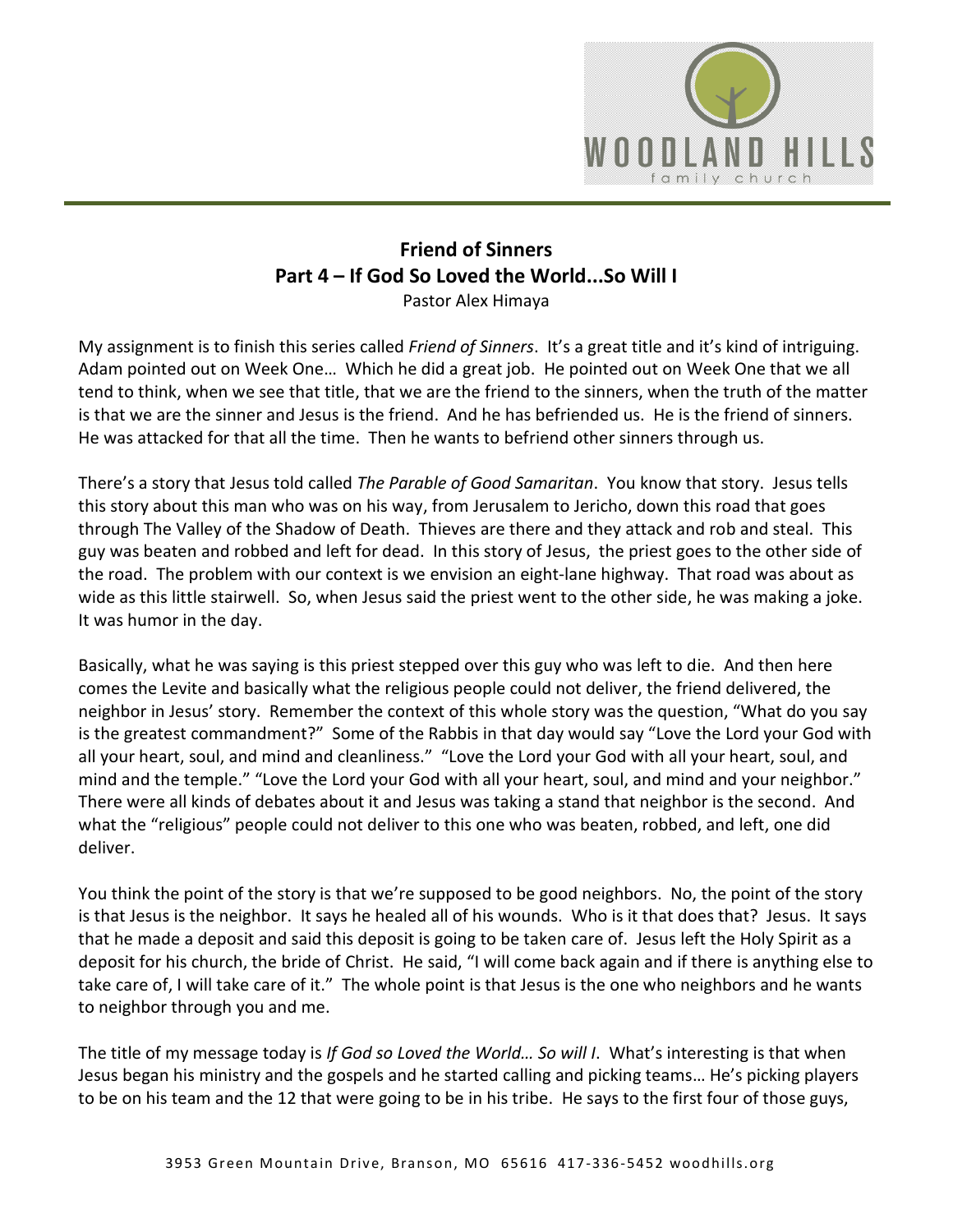

## **Friend of Sinners Part 4 – If God So Loved the World...So Will I**  Pastor Alex Himaya

My assignment is to finish this series called *Friend of Sinners*. It's a great title and it's kind of intriguing. Adam pointed out on Week One… Which he did a great job. He pointed out on Week One that we all tend to think, when we see that title, that we are the friend to the sinners, when the truth of the matter is that we are the sinner and Jesus is the friend. And he has befriended us. He is the friend of sinners. He was attacked for that all the time. Then he wants to befriend other sinners through us.

There's a story that Jesus told called *The Parable of Good Samaritan*. You know that story. Jesus tells this story about this man who was on his way, from Jerusalem to Jericho, down this road that goes through The Valley of the Shadow of Death. Thieves are there and they attack and rob and steal. This guy was beaten and robbed and left for dead. In this story of Jesus, the priest goes to the other side of the road. The problem with our context is we envision an eight-lane highway. That road was about as wide as this little stairwell. So, when Jesus said the priest went to the other side, he was making a joke. It was humor in the day.

Basically, what he was saying is this priest stepped over this guy who was left to die. And then here comes the Levite and basically what the religious people could not deliver, the friend delivered, the neighbor in Jesus' story. Remember the context of this whole story was the question, "What do you say is the greatest commandment?" Some of the Rabbis in that day would say "Love the Lord your God with all your heart, soul, and mind and cleanliness." "Love the Lord your God with all your heart, soul, and mind and the temple." "Love the Lord your God with all your heart, soul, and mind and your neighbor." There were all kinds of debates about it and Jesus was taking a stand that neighbor is the second. And what the "religious" people could not deliver to this one who was beaten, robbed, and left, one did deliver.

You think the point of the story is that we're supposed to be good neighbors. No, the point of the story is that Jesus is the neighbor. It says he healed all of his wounds. Who is it that does that? Jesus. It says that he made a deposit and said this deposit is going to be taken care of. Jesus left the Holy Spirit as a deposit for his church, the bride of Christ. He said, "I will come back again and if there is anything else to take care of, I will take care of it." The whole point is that Jesus is the one who neighbors and he wants to neighbor through you and me.

The title of my message today is *If God so Loved the World… So will I*. What's interesting is that when Jesus began his ministry and the gospels and he started calling and picking teams… He's picking players to be on his team and the 12 that were going to be in his tribe. He says to the first four of those guys,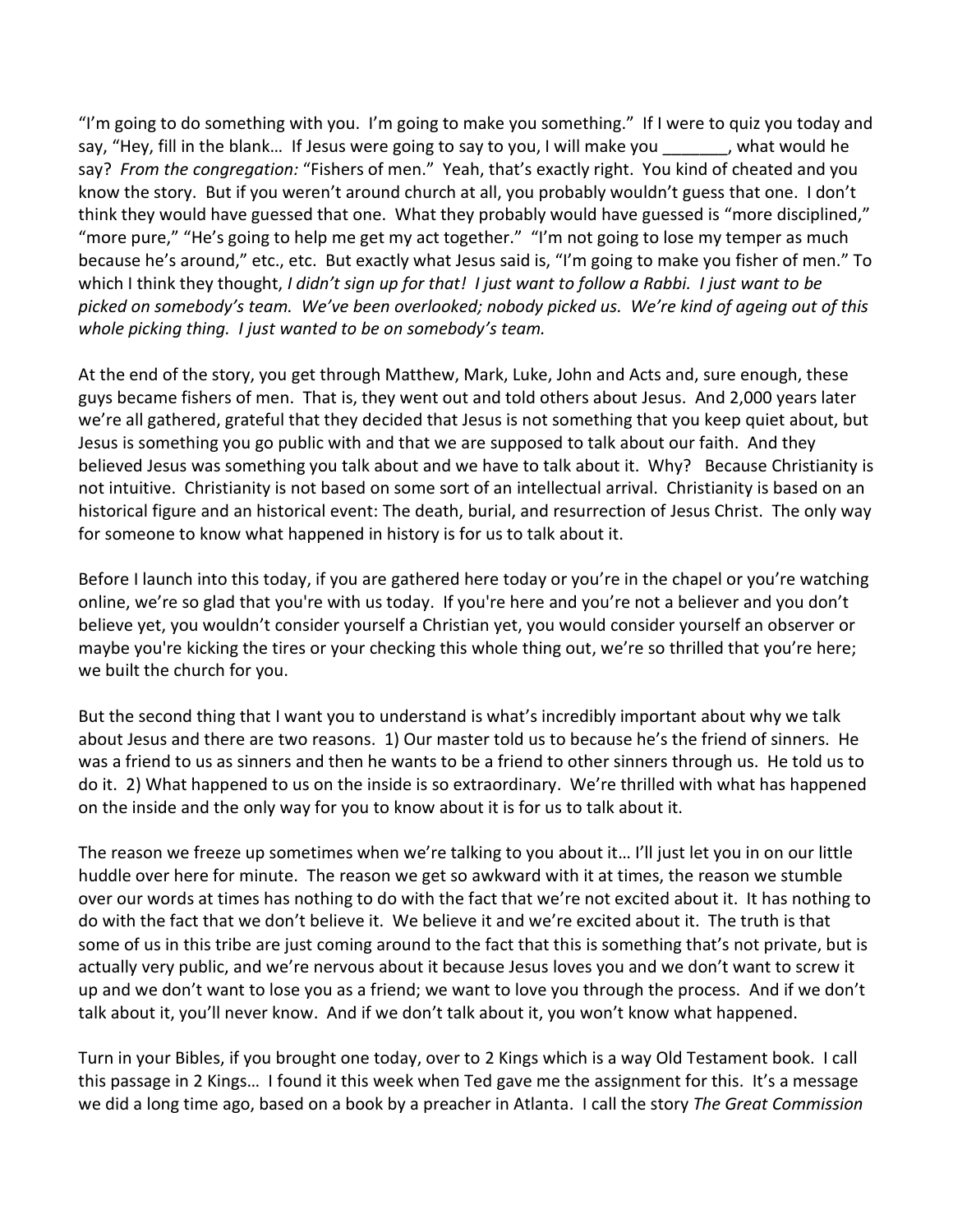"I'm going to do something with you. I'm going to make you something." If I were to quiz you today and say, "Hey, fill in the blank... If Jesus were going to say to you, I will make you \_\_\_\_\_\_, what would he say? *From the congregation:* "Fishers of men." Yeah, that's exactly right. You kind of cheated and you know the story. But if you weren't around church at all, you probably wouldn't guess that one. I don't think they would have guessed that one. What they probably would have guessed is "more disciplined," "more pure," "He's going to help me get my act together." "I'm not going to lose my temper as much because he's around," etc., etc. But exactly what Jesus said is, "I'm going to make you fisher of men." To which I think they thought, *I didn't sign up for that! I just want to follow a Rabbi. I just want to be picked on somebody's team. We've been overlooked; nobody picked us. We're kind of ageing out of this whole picking thing. I just wanted to be on somebody's team.*

At the end of the story, you get through Matthew, Mark, Luke, John and Acts and, sure enough, these guys became fishers of men. That is, they went out and told others about Jesus. And 2,000 years later we're all gathered, grateful that they decided that Jesus is not something that you keep quiet about, but Jesus is something you go public with and that we are supposed to talk about our faith. And they believed Jesus was something you talk about and we have to talk about it. Why? Because Christianity is not intuitive. Christianity is not based on some sort of an intellectual arrival. Christianity is based on an historical figure and an historical event: The death, burial, and resurrection of Jesus Christ. The only way for someone to know what happened in history is for us to talk about it.

Before I launch into this today, if you are gathered here today or you're in the chapel or you're watching online, we're so glad that you're with us today. If you're here and you're not a believer and you don't believe yet, you wouldn't consider yourself a Christian yet, you would consider yourself an observer or maybe you're kicking the tires or your checking this whole thing out, we're so thrilled that you're here; we built the church for you.

But the second thing that I want you to understand is what's incredibly important about why we talk about Jesus and there are two reasons. 1) Our master told us to because he's the friend of sinners. He was a friend to us as sinners and then he wants to be a friend to other sinners through us. He told us to do it. 2) What happened to us on the inside is so extraordinary. We're thrilled with what has happened on the inside and the only way for you to know about it is for us to talk about it.

The reason we freeze up sometimes when we're talking to you about it… I'll just let you in on our little huddle over here for minute. The reason we get so awkward with it at times, the reason we stumble over our words at times has nothing to do with the fact that we're not excited about it. It has nothing to do with the fact that we don't believe it. We believe it and we're excited about it. The truth is that some of us in this tribe are just coming around to the fact that this is something that's not private, but is actually very public, and we're nervous about it because Jesus loves you and we don't want to screw it up and we don't want to lose you as a friend; we want to love you through the process. And if we don't talk about it, you'll never know. And if we don't talk about it, you won't know what happened.

Turn in your Bibles, if you brought one today, over to 2 Kings which is a way Old Testament book. I call this passage in 2 Kings… I found it this week when Ted gave me the assignment for this. It's a message we did a long time ago, based on a book by a preacher in Atlanta. I call the story *The Great Commission*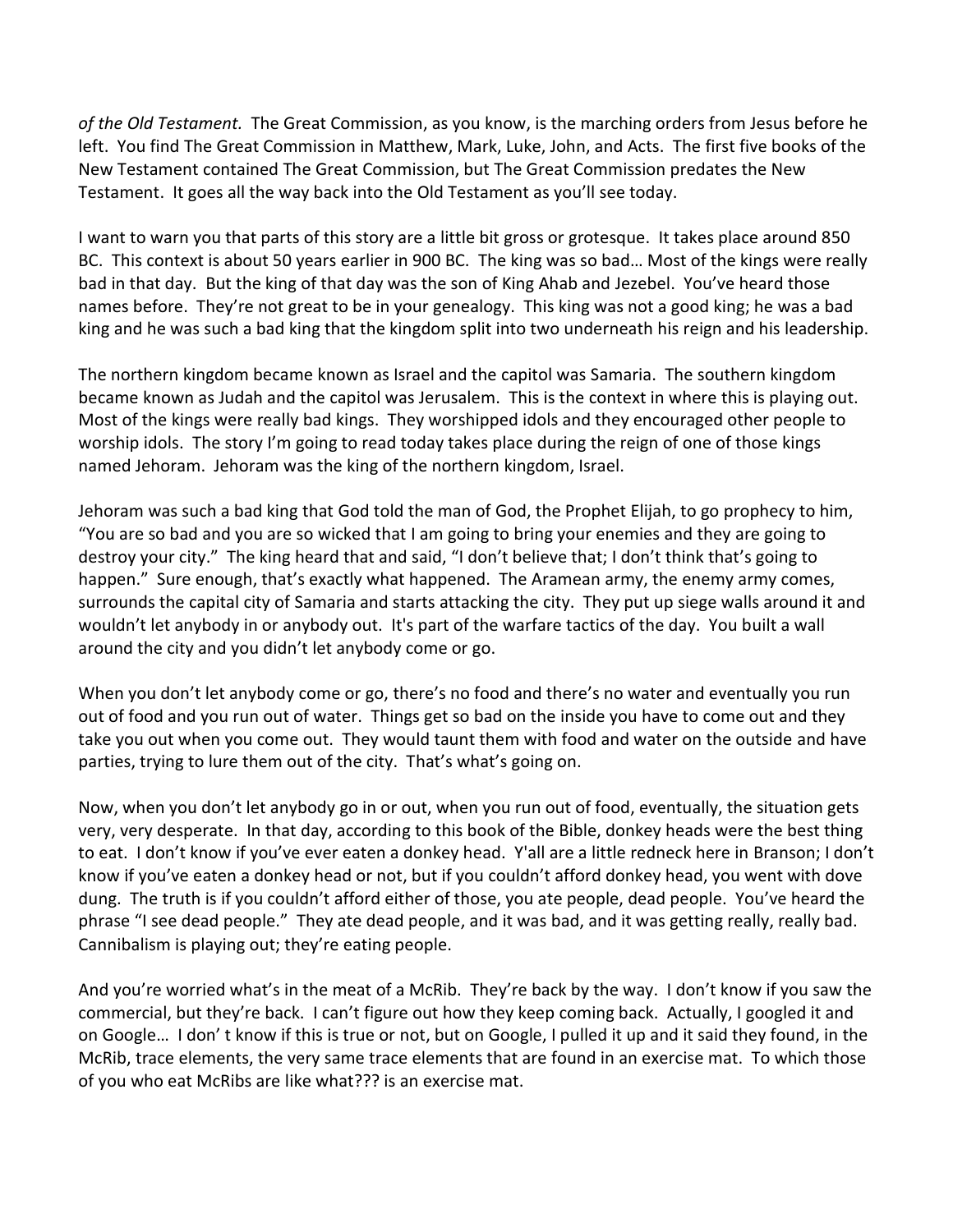*of the Old Testament.* The Great Commission, as you know, is the marching orders from Jesus before he left. You find The Great Commission in Matthew, Mark, Luke, John, and Acts. The first five books of the New Testament contained The Great Commission, but The Great Commission predates the New Testament. It goes all the way back into the Old Testament as you'll see today.

I want to warn you that parts of this story are a little bit gross or grotesque. It takes place around 850 BC. This context is about 50 years earlier in 900 BC. The king was so bad… Most of the kings were really bad in that day. But the king of that day was the son of King Ahab and Jezebel. You've heard those names before. They're not great to be in your genealogy. This king was not a good king; he was a bad king and he was such a bad king that the kingdom split into two underneath his reign and his leadership.

The northern kingdom became known as Israel and the capitol was Samaria. The southern kingdom became known as Judah and the capitol was Jerusalem. This is the context in where this is playing out. Most of the kings were really bad kings. They worshipped idols and they encouraged other people to worship idols. The story I'm going to read today takes place during the reign of one of those kings named Jehoram. Jehoram was the king of the northern kingdom, Israel.

Jehoram was such a bad king that God told the man of God, the Prophet Elijah, to go prophecy to him, "You are so bad and you are so wicked that I am going to bring your enemies and they are going to destroy your city." The king heard that and said, "I don't believe that; I don't think that's going to happen." Sure enough, that's exactly what happened. The Aramean army, the enemy army comes, surrounds the capital city of Samaria and starts attacking the city. They put up siege walls around it and wouldn't let anybody in or anybody out. It's part of the warfare tactics of the day. You built a wall around the city and you didn't let anybody come or go.

When you don't let anybody come or go, there's no food and there's no water and eventually you run out of food and you run out of water. Things get so bad on the inside you have to come out and they take you out when you come out. They would taunt them with food and water on the outside and have parties, trying to lure them out of the city. That's what's going on.

Now, when you don't let anybody go in or out, when you run out of food, eventually, the situation gets very, very desperate. In that day, according to this book of the Bible, donkey heads were the best thing to eat. I don't know if you've ever eaten a donkey head. Y'all are a little redneck here in Branson; I don't know if you've eaten a donkey head or not, but if you couldn't afford donkey head, you went with dove dung. The truth is if you couldn't afford either of those, you ate people, dead people. You've heard the phrase "I see dead people." They ate dead people, and it was bad, and it was getting really, really bad. Cannibalism is playing out; they're eating people.

And you're worried what's in the meat of a McRib. They're back by the way. I don't know if you saw the commercial, but they're back. I can't figure out how they keep coming back. Actually, I googled it and on Google… I don' t know if this is true or not, but on Google, I pulled it up and it said they found, in the McRib, trace elements, the very same trace elements that are found in an exercise mat. To which those of you who eat McRibs are like what??? is an exercise mat.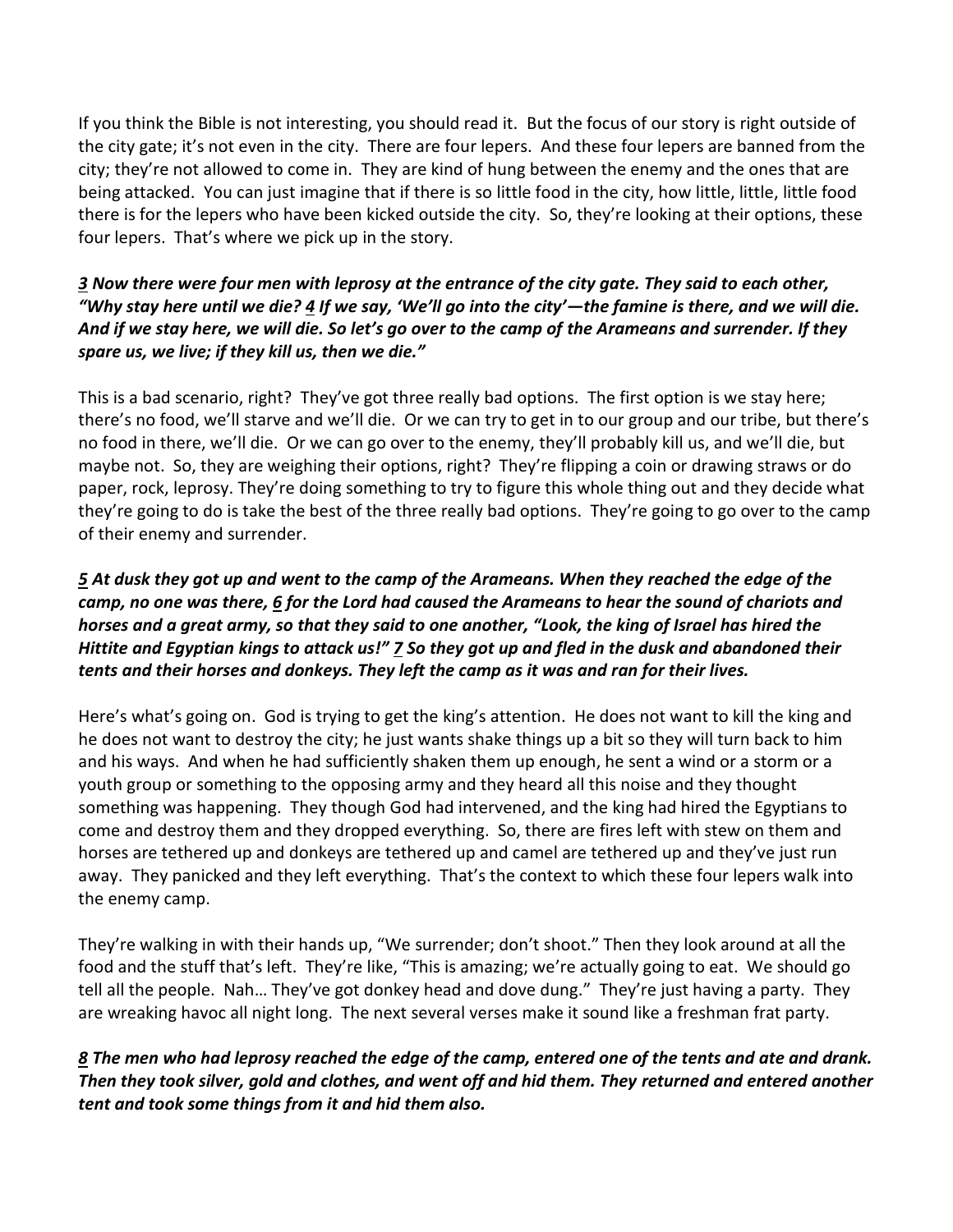If you think the Bible is not interesting, you should read it. But the focus of our story is right outside of the city gate; it's not even in the city. There are four lepers. And these four lepers are banned from the city; they're not allowed to come in. They are kind of hung between the enemy and the ones that are being attacked. You can just imagine that if there is so little food in the city, how little, little, little food there is for the lepers who have been kicked outside the city. So, they're looking at their options, these four lepers. That's where we pick up in the story.

## *[3](https://www.studylight.org/desk/?q=2ki%207:3&t1=en_niv&sr=1) Now there were four men with leprosy at the entrance of the city gate. They said to each other, "Why stay here until we die? [4](https://www.studylight.org/desk/?q=2ki%207:4&t1=en_niv&sr=1) If we say, 'We'll go into the city'—the famine is there, and we will die. And if we stay here, we will die. So let's go over to the camp of the Arameans and surrender. If they spare us, we live; if they kill us, then we die."*

This is a bad scenario, right? They've got three really bad options. The first option is we stay here; there's no food, we'll starve and we'll die. Or we can try to get in to our group and our tribe, but there's no food in there, we'll die. Or we can go over to the enemy, they'll probably kill us, and we'll die, but maybe not. So, they are weighing their options, right? They're flipping a coin or drawing straws or do paper, rock, leprosy. They're doing something to try to figure this whole thing out and they decide what they're going to do is take the best of the three really bad options. They're going to go over to the camp of their enemy and surrender.

## *[5](https://www.studylight.org/desk/?q=2ki%207:5&t1=en_niv&sr=1) At dusk they got up and went to the camp of the Arameans. When they reached the edge of the camp, no one was there, [6](https://www.studylight.org/desk/?q=2ki%207:6&t1=en_niv&sr=1) for the Lord had caused the Arameans to hear the sound of chariots and horses and a great army, so that they said to one another, "Look, the king of Israel has hired the Hittite and Egyptian kings to attack us!" [7](https://www.studylight.org/desk/?q=2ki%207:7&t1=en_niv&sr=1) So they got up and fled in the dusk and abandoned their tents and their horses and donkeys. They left the camp as it was and ran for their lives.*

Here's what's going on. God is trying to get the king's attention. He does not want to kill the king and he does not want to destroy the city; he just wants shake things up a bit so they will turn back to him and his ways. And when he had sufficiently shaken them up enough, he sent a wind or a storm or a youth group or something to the opposing army and they heard all this noise and they thought something was happening. They though God had intervened, and the king had hired the Egyptians to come and destroy them and they dropped everything. So, there are fires left with stew on them and horses are tethered up and donkeys are tethered up and camel are tethered up and they've just run away. They panicked and they left everything. That's the context to which these four lepers walk into the enemy camp.

They're walking in with their hands up, "We surrender; don't shoot." Then they look around at all the food and the stuff that's left. They're like, "This is amazing; we're actually going to eat. We should go tell all the people. Nah… They've got donkey head and dove dung." They're just having a party. They are wreaking havoc all night long. The next several verses make it sound like a freshman frat party.

## *[8](https://www.studylight.org/desk/?q=2ki%207:8&t1=en_niv&sr=1) The men who had leprosy reached the edge of the camp, entered one of the tents and ate and drank. Then they took silver, gold and clothes, and went off and hid them. They returned and entered another tent and took some things from it and hid them also.*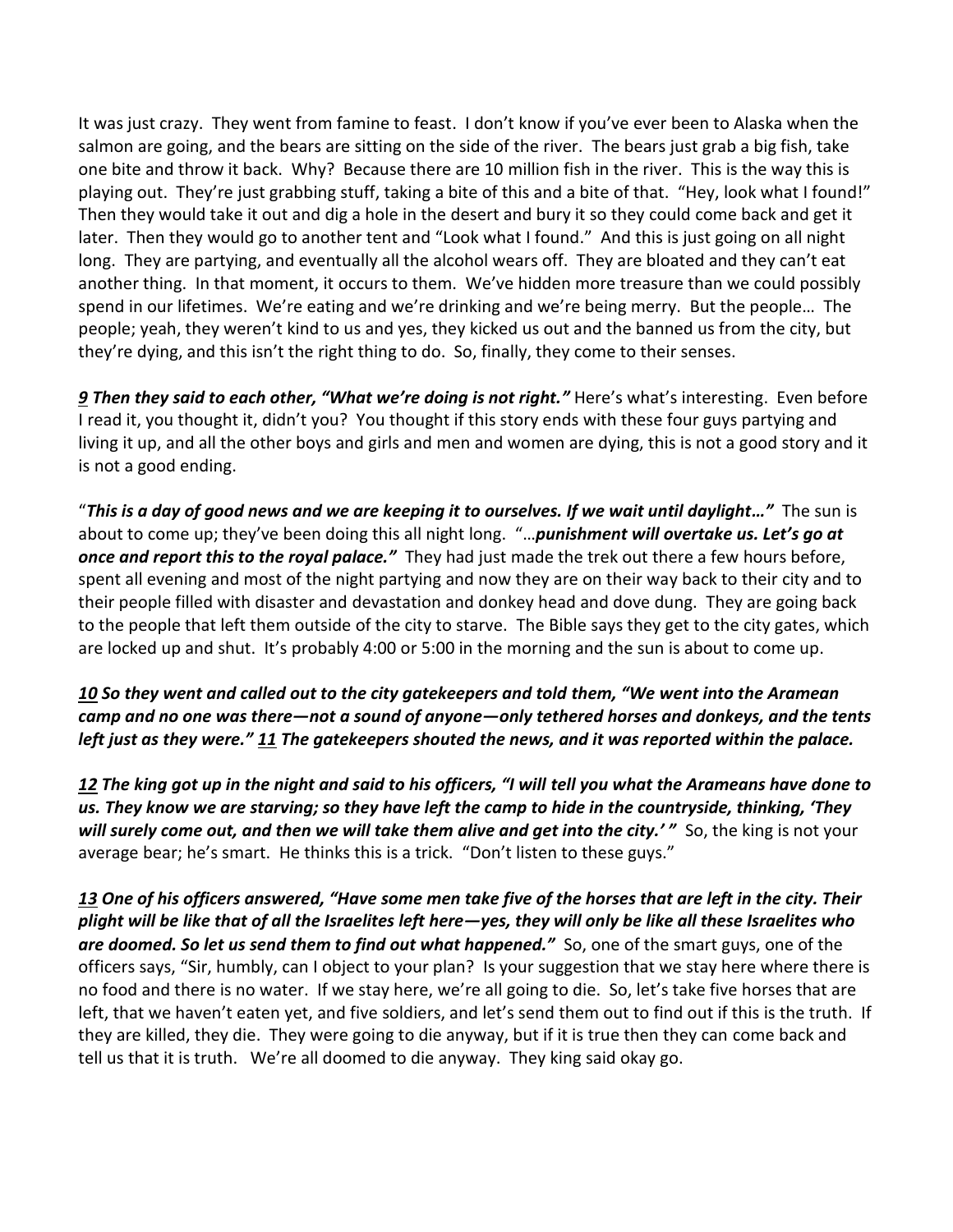It was just crazy. They went from famine to feast. I don't know if you've ever been to Alaska when the salmon are going, and the bears are sitting on the side of the river. The bears just grab a big fish, take one bite and throw it back. Why? Because there are 10 million fish in the river. This is the way this is playing out. They're just grabbing stuff, taking a bite of this and a bite of that. "Hey, look what I found!" Then they would take it out and dig a hole in the desert and bury it so they could come back and get it later. Then they would go to another tent and "Look what I found." And this is just going on all night long. They are partying, and eventually all the alcohol wears off. They are bloated and they can't eat another thing. In that moment, it occurs to them. We've hidden more treasure than we could possibly spend in our lifetimes. We're eating and we're drinking and we're being merry. But the people… The people; yeah, they weren't kind to us and yes, they kicked us out and the banned us from the city, but they're dying, and this isn't the right thing to do. So, finally, they come to their senses.

*[9](https://www.studylight.org/desk/?q=2ki%207:9&t1=en_niv&sr=1) Then they said to each other, "What we're doing is not right."* Here's what's interesting. Even before I read it, you thought it, didn't you? You thought if this story ends with these four guys partying and living it up, and all the other boys and girls and men and women are dying, this is not a good story and it is not a good ending.

"*This is a day of good news and we are keeping it to ourselves. If we wait until daylight…"* The sun is about to come up; they've been doing this all night long. "…*punishment will overtake us. Let's go at once and report this to the royal palace."* They had just made the trek out there a few hours before, spent all evening and most of the night partying and now they are on their way back to their city and to their people filled with disaster and devastation and donkey head and dove dung. They are going back to the people that left them outside of the city to starve. The Bible says they get to the city gates, which are locked up and shut. It's probably 4:00 or 5:00 in the morning and the sun is about to come up.

*[10](https://www.studylight.org/desk/?q=2ki%207:10&t1=en_niv&sr=1) So they went and called out to the city gatekeepers and told them, "We went into the Aramean camp and no one was there—not a sound of anyone—only tethered horses and donkeys, and the tents left just as they were." [11](https://www.studylight.org/desk/?q=2ki%207:11&t1=en_niv&sr=1) The gatekeepers shouted the news, and it was reported within the palace.* 

*[12](https://www.studylight.org/desk/?q=2ki%207:12&t1=en_niv&sr=1) The king got up in the night and said to his officers, "I will tell you what the Arameans have done to us. They know we are starving; so they have left the camp to hide in the countryside, thinking, 'They*  will surely come out, and then we will take them alive and get into the city.<sup>*'*</sup> So, the king is not your average bear; he's smart. He thinks this is a trick. "Don't listen to these guys."

*[13](https://www.studylight.org/desk/?q=2ki%207:13&t1=en_niv&sr=1) One of his officers answered, "Have some men take five of the horses that are left in the city. Their plight will be like that of all the Israelites left here—yes, they will only be like all these Israelites who are doomed. So let us send them to find out what happened."* So, one of the smart guys, one of the officers says, "Sir, humbly, can I object to your plan? Is your suggestion that we stay here where there is no food and there is no water. If we stay here, we're all going to die. So, let's take five horses that are left, that we haven't eaten yet, and five soldiers, and let's send them out to find out if this is the truth. If they are killed, they die. They were going to die anyway, but if it is true then they can come back and tell us that it is truth. We're all doomed to die anyway. They king said okay go.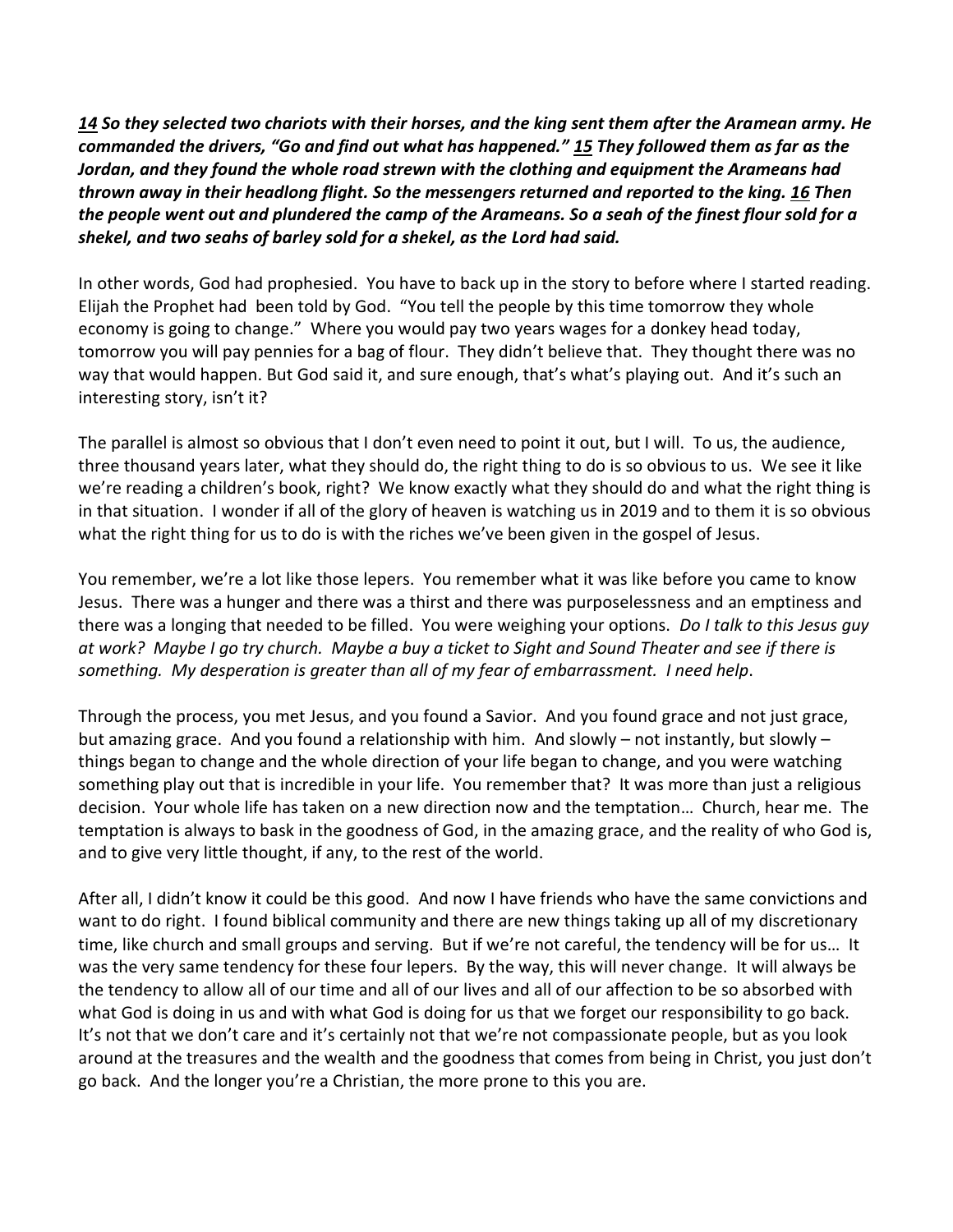*[14](https://www.studylight.org/desk/?q=2ki%207:14&t1=en_niv&sr=1) So they selected two chariots with their horses, and the king sent them after the Aramean army. He commanded the drivers, "Go and find out what has happened." [15](https://www.studylight.org/desk/?q=2ki%207:15&t1=en_niv&sr=1) They followed them as far as the Jordan, and they found the whole road strewn with the clothing and equipment the Arameans had thrown away in their headlong flight. So the messengers returned and reported to the king. [16](https://www.studylight.org/desk/?q=2ki%207:16&t1=en_niv&sr=1) Then the people went out and plundered the camp of the Arameans. So a seah of the finest flour sold for a shekel, and two seahs of barley sold for a shekel, as the Lord had said.*

In other words, God had prophesied. You have to back up in the story to before where I started reading. Elijah the Prophet had been told by God. "You tell the people by this time tomorrow they whole economy is going to change." Where you would pay two years wages for a donkey head today, tomorrow you will pay pennies for a bag of flour. They didn't believe that. They thought there was no way that would happen. But God said it, and sure enough, that's what's playing out. And it's such an interesting story, isn't it?

The parallel is almost so obvious that I don't even need to point it out, but I will. To us, the audience, three thousand years later, what they should do, the right thing to do is so obvious to us. We see it like we're reading a children's book, right? We know exactly what they should do and what the right thing is in that situation. I wonder if all of the glory of heaven is watching us in 2019 and to them it is so obvious what the right thing for us to do is with the riches we've been given in the gospel of Jesus.

You remember, we're a lot like those lepers. You remember what it was like before you came to know Jesus. There was a hunger and there was a thirst and there was purposelessness and an emptiness and there was a longing that needed to be filled. You were weighing your options. *Do I talk to this Jesus guy at work? Maybe I go try church. Maybe a buy a ticket to Sight and Sound Theater and see if there is something. My desperation is greater than all of my fear of embarrassment. I need help*.

Through the process, you met Jesus, and you found a Savior. And you found grace and not just grace, but amazing grace. And you found a relationship with him. And slowly – not instantly, but slowly – things began to change and the whole direction of your life began to change, and you were watching something play out that is incredible in your life. You remember that? It was more than just a religious decision. Your whole life has taken on a new direction now and the temptation… Church, hear me. The temptation is always to bask in the goodness of God, in the amazing grace, and the reality of who God is, and to give very little thought, if any, to the rest of the world.

After all, I didn't know it could be this good. And now I have friends who have the same convictions and want to do right. I found biblical community and there are new things taking up all of my discretionary time, like church and small groups and serving. But if we're not careful, the tendency will be for us… It was the very same tendency for these four lepers. By the way, this will never change. It will always be the tendency to allow all of our time and all of our lives and all of our affection to be so absorbed with what God is doing in us and with what God is doing for us that we forget our responsibility to go back. It's not that we don't care and it's certainly not that we're not compassionate people, but as you look around at the treasures and the wealth and the goodness that comes from being in Christ, you just don't go back. And the longer you're a Christian, the more prone to this you are.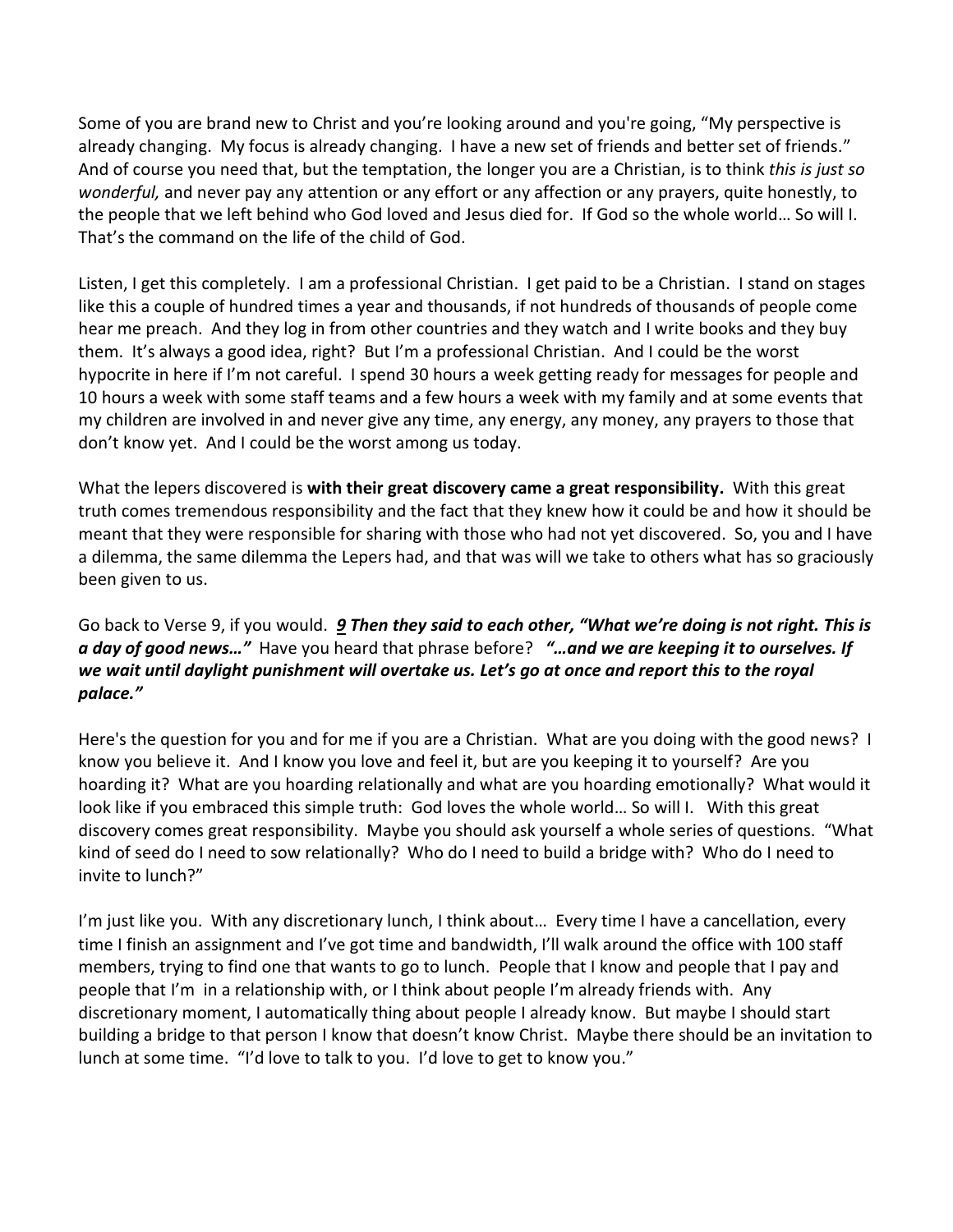Some of you are brand new to Christ and you're looking around and you're going, "My perspective is already changing. My focus is already changing. I have a new set of friends and better set of friends." And of course you need that, but the temptation, the longer you are a Christian, is to think *this is just so wonderful,* and never pay any attention or any effort or any affection or any prayers, quite honestly, to the people that we left behind who God loved and Jesus died for. If God so the whole world… So will I. That's the command on the life of the child of God.

Listen, I get this completely. I am a professional Christian. I get paid to be a Christian. I stand on stages like this a couple of hundred times a year and thousands, if not hundreds of thousands of people come hear me preach. And they log in from other countries and they watch and I write books and they buy them. It's always a good idea, right? But I'm a professional Christian. And I could be the worst hypocrite in here if I'm not careful. I spend 30 hours a week getting ready for messages for people and 10 hours a week with some staff teams and a few hours a week with my family and at some events that my children are involved in and never give any time, any energy, any money, any prayers to those that don't know yet. And I could be the worst among us today.

What the lepers discovered is **with their great discovery came a great responsibility.** With this great truth comes tremendous responsibility and the fact that they knew how it could be and how it should be meant that they were responsible for sharing with those who had not yet discovered. So, you and I have a dilemma, the same dilemma the Lepers had, and that was will we take to others what has so graciously been given to us.

Go back to Verse 9, if you would. *[9](https://www.studylight.org/desk/?q=2ki%207:9&t1=en_niv&sr=1) Then they said to each other, "What we're doing is not right. This is a day of good news…"* Have you heard that phrase before? *"…and we are keeping it to ourselves. If we wait until daylight punishment will overtake us. Let's go at once and report this to the royal palace."*

Here's the question for you and for me if you are a Christian. What are you doing with the good news? I know you believe it. And I know you love and feel it, but are you keeping it to yourself? Are you hoarding it? What are you hoarding relationally and what are you hoarding emotionally? What would it look like if you embraced this simple truth: God loves the whole world… So will I. With this great discovery comes great responsibility. Maybe you should ask yourself a whole series of questions. "What kind of seed do I need to sow relationally? Who do I need to build a bridge with? Who do I need to invite to lunch?"

I'm just like you. With any discretionary lunch, I think about… Every time I have a cancellation, every time I finish an assignment and I've got time and bandwidth, I'll walk around the office with 100 staff members, trying to find one that wants to go to lunch. People that I know and people that I pay and people that I'm in a relationship with, or I think about people I'm already friends with. Any discretionary moment, I automatically thing about people I already know. But maybe I should start building a bridge to that person I know that doesn't know Christ. Maybe there should be an invitation to lunch at some time. "I'd love to talk to you. I'd love to get to know you."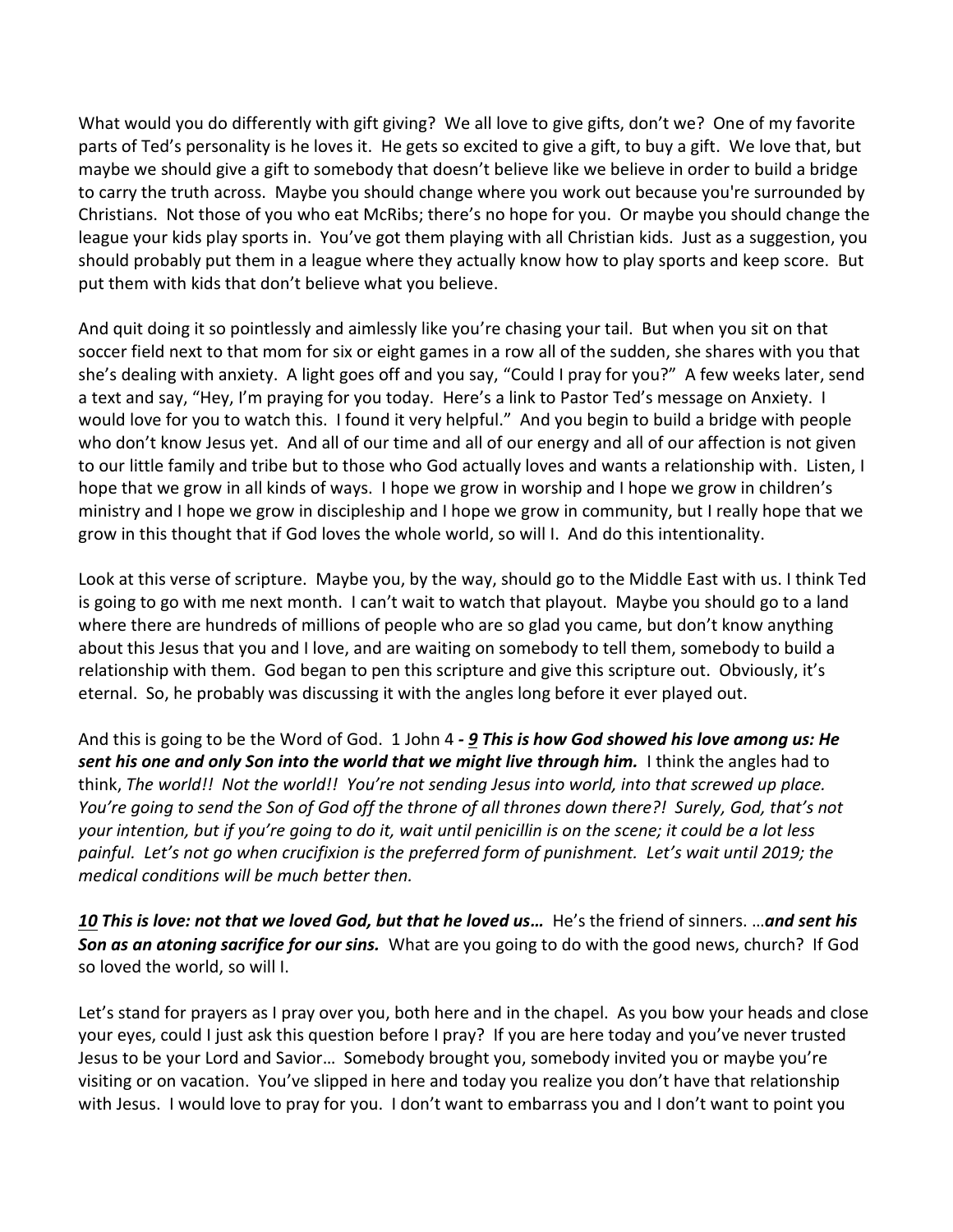What would you do differently with gift giving? We all love to give gifts, don't we? One of my favorite parts of Ted's personality is he loves it. He gets so excited to give a gift, to buy a gift. We love that, but maybe we should give a gift to somebody that doesn't believe like we believe in order to build a bridge to carry the truth across. Maybe you should change where you work out because you're surrounded by Christians. Not those of you who eat McRibs; there's no hope for you. Or maybe you should change the league your kids play sports in. You've got them playing with all Christian kids. Just as a suggestion, you should probably put them in a league where they actually know how to play sports and keep score. But put them with kids that don't believe what you believe.

And quit doing it so pointlessly and aimlessly like you're chasing your tail. But when you sit on that soccer field next to that mom for six or eight games in a row all of the sudden, she shares with you that she's dealing with anxiety. A light goes off and you say, "Could I pray for you?" A few weeks later, send a text and say, "Hey, I'm praying for you today. Here's a link to Pastor Ted's message on Anxiety. I would love for you to watch this. I found it very helpful." And you begin to build a bridge with people who don't know Jesus yet. And all of our time and all of our energy and all of our affection is not given to our little family and tribe but to those who God actually loves and wants a relationship with. Listen, I hope that we grow in all kinds of ways. I hope we grow in worship and I hope we grow in children's ministry and I hope we grow in discipleship and I hope we grow in community, but I really hope that we grow in this thought that if God loves the whole world, so will I. And do this intentionality.

Look at this verse of scripture. Maybe you, by the way, should go to the Middle East with us. I think Ted is going to go with me next month. I can't wait to watch that playout. Maybe you should go to a land where there are hundreds of millions of people who are so glad you came, but don't know anything about this Jesus that you and I love, and are waiting on somebody to tell them, somebody to build a relationship with them. God began to pen this scripture and give this scripture out. Obviously, it's eternal. So, he probably was discussing it with the angles long before it ever played out.

And this is going to be the Word of God. 1 John 4 *- [9](https://www.studylight.org/desk/?q=1jo%204:9&t1=en_niv&sr=1) This is how God showed his love among us: He sent his one and only Son into the world that we might live through him.* I think the angles had to think, *The world!! Not the world!! You're not sending Jesus into world, into that screwed up place. You're going to send the Son of God off the throne of all thrones down there?! Surely, God, that's not your intention, but if you're going to do it, wait until penicillin is on the scene; it could be a lot less painful. Let's not go when crucifixion is the preferred form of punishment. Let's wait until 2019; the medical conditions will be much better then.* 

*[10](https://www.studylight.org/desk/?q=1jo%204:10&t1=en_niv&sr=1) This is love: not that we loved God, but that he loved us…* He's the friend of sinners. …*and sent his Son as an atoning sacrifice for our sins.* What are you going to do with the good news, church? If God so loved the world, so will I.

Let's stand for prayers as I pray over you, both here and in the chapel. As you bow your heads and close your eyes, could I just ask this question before I pray? If you are here today and you've never trusted Jesus to be your Lord and Savior… Somebody brought you, somebody invited you or maybe you're visiting or on vacation. You've slipped in here and today you realize you don't have that relationship with Jesus. I would love to pray for you. I don't want to embarrass you and I don't want to point you